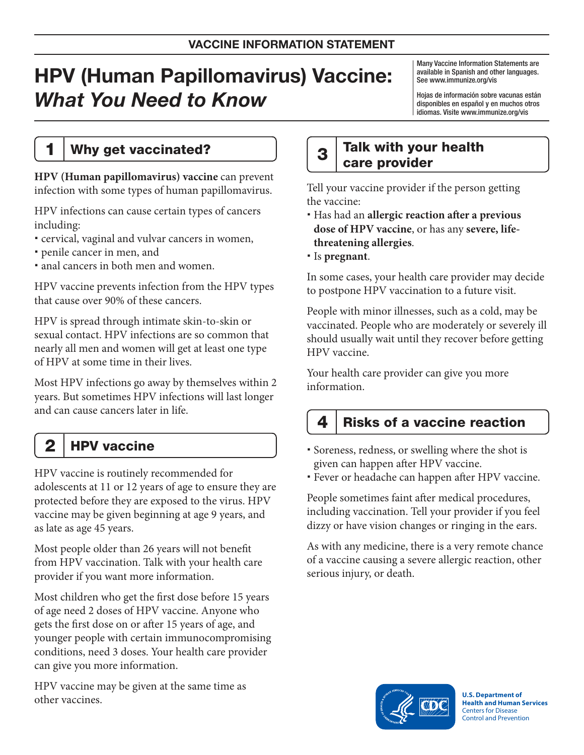# HPV (Human Papillomavirus) Vaccine: What You Need to Know

Many Vaccine Information Statements are available in Spanish and other languages. See www.immunize.org/vis

Hojas de información sobre vacunas están disponibles en español y en muchos otros idiomas. Visite www.immunize.org/vis

### 1 | Why get vaccinated?

**HPV (Human papillomavirus) vaccine** can prevent infection with some types of human papillomavirus.

HPV infections can cause certain types of cancers including:

- cervical, vaginal and vulvar cancers in women,
- penile cancer in men, and
- anal cancers in both men and women.

HPV vaccine prevents infection from the HPV types that cause over 90% of these cancers.

HPV is spread through intimate skin-to-skin or sexual contact. HPV infections are so common that nearly all men and women will get at least one type of HPV at some time in their lives.

Most HPV infections go away by themselves within 2 years. But sometimes HPV infections will last longer and can cause cancers later in life.

# 2 | HPV vaccine

HPV vaccine is routinely recommended for adolescents at 11 or 12 years of age to ensure they are protected before they are exposed to the virus. HPV vaccine may be given beginning at age 9 years, and as late as age 45 years.

Most people older than 26 years will not benefit from HPV vaccination. Talk with your health care provider if you want more information.

Most children who get the first dose before 15 years of age need 2 doses of HPV vaccine. Anyone who gets the first dose on or after 15 years of age, and younger people with certain immunocompromising conditions, need 3 doses. Your health care provider can give you more information.

HPV vaccine may be given at the same time as other vaccines.

### $3$  Talk with your health care provider

Tell your vaccine provider if the person getting the vaccine:

- Has had an **allergic reaction after a previous dose of HPV vaccine**, or has any **severe, lifethreatening allergies**.
- Is **pregnant**.

In some cases, your health care provider may decide to postpone HPV vaccination to a future visit.

People with minor illnesses, such as a cold, may be vaccinated. People who are moderately or severely ill should usually wait until they recover before getting HPV vaccine.

Your health care provider can give you more information.

## $4 \mid$  Risks of a vaccine reaction

 Soreness, redness, or swelling where the shot is given can happen after HPV vaccine.

Fever or headache can happen after HPV vaccine.

People sometimes faint after medical procedures, including vaccination. Tell your provider if you feel dizzy or have vision changes or ringing in the ears.

As with any medicine, there is a very remote chance of a vaccine causing a severe allergic reaction, other serious injury, or death.



**U.S. Department of Health and Human Services**  Centers for Disease Control and Prevention